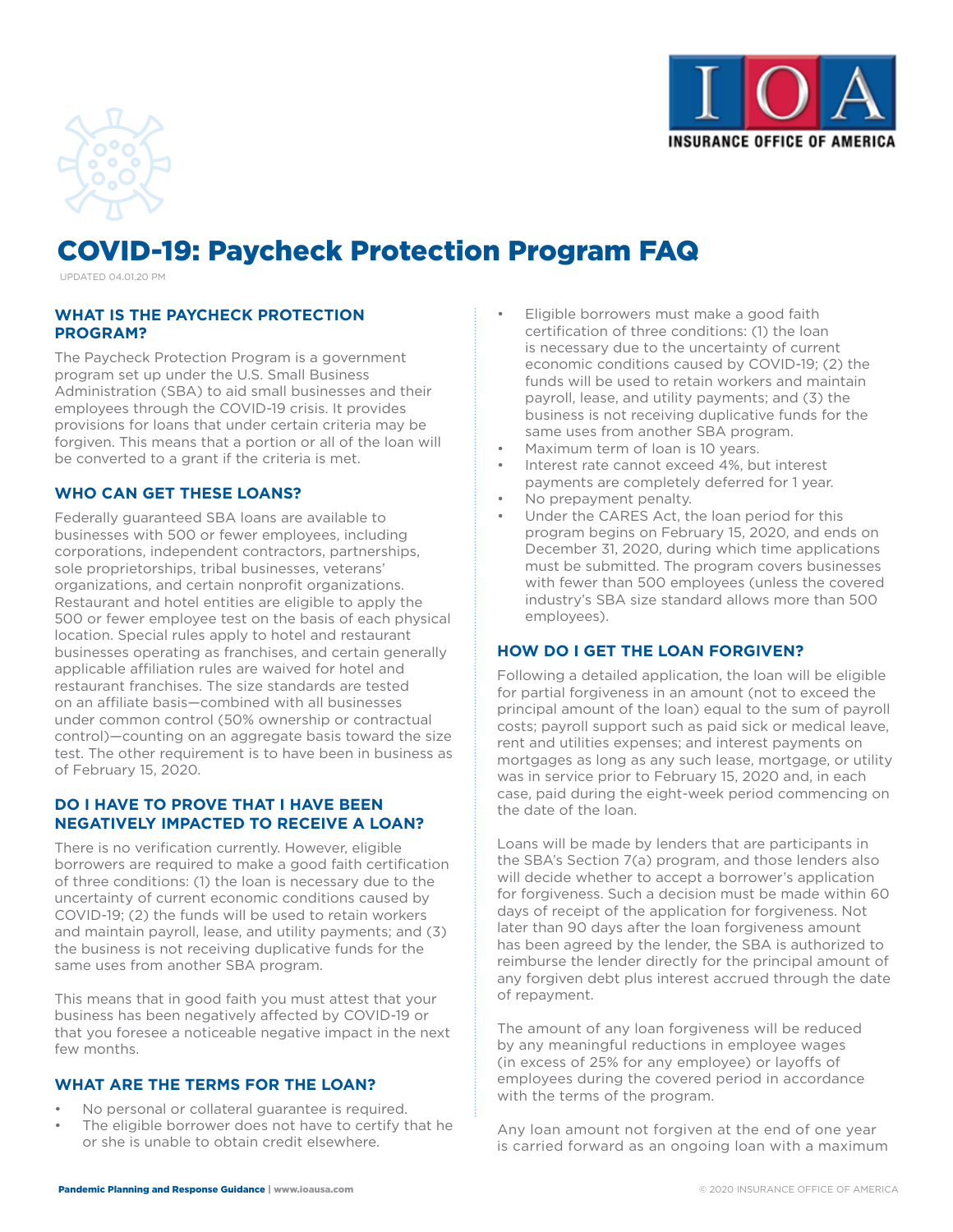



# COVID-19: Paycheck Protection Program FAQ

UPDATED 04.01.20 PM

## **WHAT IS THE PAYCHECK PROTECTION PROGRAM?**

The Paycheck Protection Program is a government program set up under the U.S. Small Business Administration (SBA) to aid small businesses and their employees through the COVID-19 crisis. It provides provisions for loans that under certain criteria may be forgiven. This means that a portion or all of the loan will be converted to a grant if the criteria is met.

#### **WHO CAN GET THESE LOANS?**

Federally guaranteed SBA loans are available to businesses with 500 or fewer employees, including corporations, independent contractors, partnerships, sole proprietorships, tribal businesses, veterans' organizations, and certain nonprofit organizations. Restaurant and hotel entities are eligible to apply the 500 or fewer employee test on the basis of each physical location. Special rules apply to hotel and restaurant businesses operating as franchises, and certain generally applicable affiliation rules are waived for hotel and restaurant franchises. The size standards are tested on an affiliate basis—combined with all businesses under common control (50% ownership or contractual control)—counting on an aggregate basis toward the size test. The other requirement is to have been in business as of February 15, 2020.

#### **DO I HAVE TO PROVE THAT I HAVE BEEN NEGATIVELY IMPACTED TO RECEIVE A LOAN?**

There is no verification currently. However, eligible borrowers are required to make a good faith certification of three conditions: (1) the loan is necessary due to the uncertainty of current economic conditions caused by COVID-19; (2) the funds will be used to retain workers and maintain payroll, lease, and utility payments; and (3) the business is not receiving duplicative funds for the same uses from another SBA program.

This means that in good faith you must attest that your business has been negatively affected by COVID-19 or that you foresee a noticeable negative impact in the next few months.

# **WHAT ARE THE TERMS FOR THE LOAN?**

- No personal or collateral guarantee is required.
- The eligible borrower does not have to certify that he or she is unable to obtain credit elsewhere.
- Eligible borrowers must make a good faith certification of three conditions: (1) the loan is necessary due to the uncertainty of current economic conditions caused by COVID-19; (2) the funds will be used to retain workers and maintain payroll, lease, and utility payments; and (3) the business is not receiving duplicative funds for the same uses from another SBA program.
- Maximum term of loan is 10 years.
- Interest rate cannot exceed 4%, but interest payments are completely deferred for 1 year.
- No prepayment penalty.
- Under the CARES Act, the loan period for this program begins on February 15, 2020, and ends on December 31, 2020, during which time applications must be submitted. The program covers businesses with fewer than 500 employees (unless the covered industry's SBA size standard allows more than 500 employees).

# **HOW DO I GET THE LOAN FORGIVEN?**

Following a detailed application, the loan will be eligible for partial forgiveness in an amount (not to exceed the principal amount of the loan) equal to the sum of payroll costs; payroll support such as paid sick or medical leave, rent and utilities expenses; and interest payments on mortgages as long as any such lease, mortgage, or utility was in service prior to February 15, 2020 and, in each case, paid during the eight-week period commencing on the date of the loan.

Loans will be made by lenders that are participants in the SBA's Section 7(a) program, and those lenders also will decide whether to accept a borrower's application for forgiveness. Such a decision must be made within 60 days of receipt of the application for forgiveness. Not later than 90 days after the loan forgiveness amount has been agreed by the lender, the SBA is authorized to reimburse the lender directly for the principal amount of any forgiven debt plus interest accrued through the date of repayment.

The amount of any loan forgiveness will be reduced by any meaningful reductions in employee wages (in excess of 25% for any employee) or layoffs of employees during the covered period in accordance with the terms of the program.

Any loan amount not forgiven at the end of one year is carried forward as an ongoing loan with a maximum